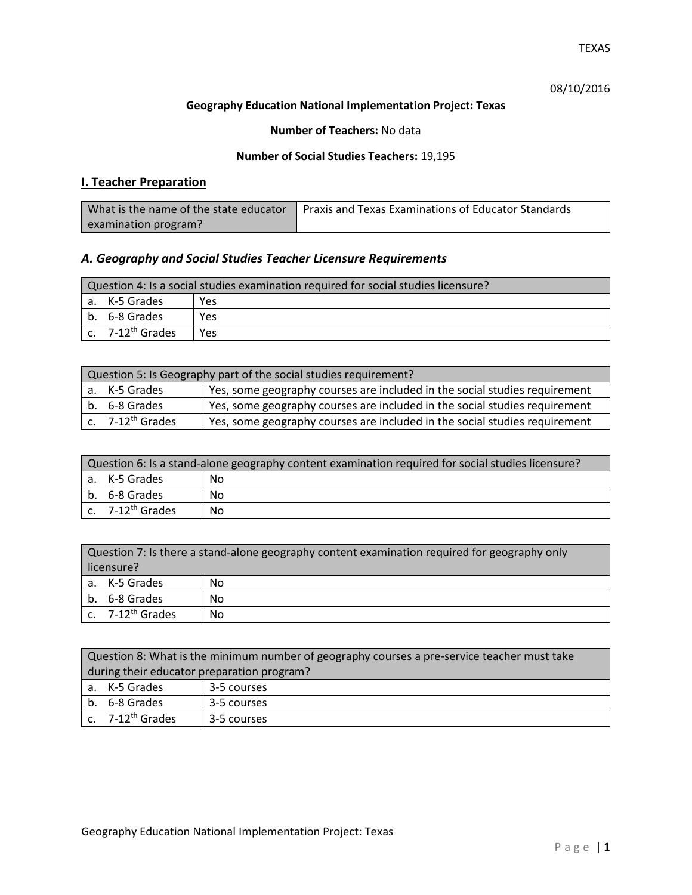# 08/10/2016

#### **Geography Education National Implementation Project: Texas**

### **Number of Teachers:** No data

### **Number of Social Studies Teachers:** 19,195

# **I. Teacher Preparation**

| What is the name of the state educator | Praxis and Texas Examinations of Educator Standards |
|----------------------------------------|-----------------------------------------------------|
| examination program?                   |                                                     |

# *A. Geography and Social Studies Teacher Licensure Requirements*

| Question 4: Is a social studies examination required for social studies licensure? |     |  |
|------------------------------------------------------------------------------------|-----|--|
| a. K-5 Grades                                                                      | Yes |  |
| b. 6-8 Grades                                                                      | Yes |  |
| c. 7-12 <sup>th</sup> Grades                                                       | Yes |  |

| Question 5: Is Geography part of the social studies requirement? |                                                                            |  |
|------------------------------------------------------------------|----------------------------------------------------------------------------|--|
| a. K-5 Grades                                                    | Yes, some geography courses are included in the social studies requirement |  |
| b. 6-8 Grades                                                    | Yes, some geography courses are included in the social studies requirement |  |
| c. 7-12 <sup>th</sup> Grades                                     | Yes, some geography courses are included in the social studies requirement |  |

| Question 6: Is a stand-alone geography content examination required for social studies licensure? |    |  |
|---------------------------------------------------------------------------------------------------|----|--|
| a. K-5 Grades                                                                                     | No |  |
| b. 6-8 Grades                                                                                     | No |  |
| c. $7-12^{th}$ Grades                                                                             | No |  |

| Question 7: Is there a stand-alone geography content examination required for geography only<br>licensure? |    |  |
|------------------------------------------------------------------------------------------------------------|----|--|
| a. K-5 Grades                                                                                              | No |  |
| b. 6-8 Grades                                                                                              | No |  |
| c. 7-12 <sup>th</sup> Grades                                                                               | No |  |

| Question 8: What is the minimum number of geography courses a pre-service teacher must take |             |  |
|---------------------------------------------------------------------------------------------|-------------|--|
| during their educator preparation program?                                                  |             |  |
| a. K-5 Grades                                                                               | 3-5 courses |  |
| b. 6-8 Grades                                                                               | 3-5 courses |  |
| c. $7-12^{th}$ Grades                                                                       | 3-5 courses |  |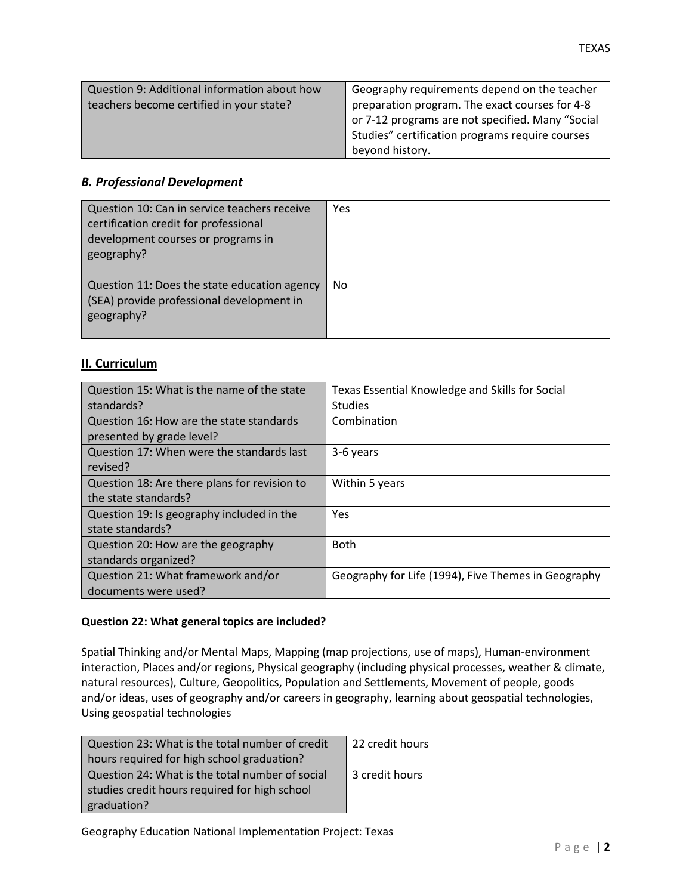## *B. Professional Development*

| Question 10: Can in service teachers receive<br>certification credit for professional<br>development courses or programs in<br>geography? | Yes       |
|-------------------------------------------------------------------------------------------------------------------------------------------|-----------|
| Question 11: Does the state education agency<br>(SEA) provide professional development in<br>geography?                                   | <b>No</b> |

## **II. Curriculum**

| Question 15: What is the name of the state   | Texas Essential Knowledge and Skills for Social     |
|----------------------------------------------|-----------------------------------------------------|
| standards?                                   | <b>Studies</b>                                      |
| Question 16: How are the state standards     | Combination                                         |
| presented by grade level?                    |                                                     |
| Question 17: When were the standards last    | 3-6 years                                           |
| revised?                                     |                                                     |
| Question 18: Are there plans for revision to | Within 5 years                                      |
| the state standards?                         |                                                     |
| Question 19: Is geography included in the    | <b>Yes</b>                                          |
| state standards?                             |                                                     |
| Question 20: How are the geography           | <b>Both</b>                                         |
| standards organized?                         |                                                     |
| Question 21: What framework and/or           | Geography for Life (1994), Five Themes in Geography |
| documents were used?                         |                                                     |

## **Question 22: What general topics are included?**

Spatial Thinking and/or Mental Maps, Mapping (map projections, use of maps), Human-environment interaction, Places and/or regions, Physical geography (including physical processes, weather & climate, natural resources), Culture, Geopolitics, Population and Settlements, Movement of people, goods and/or ideas, uses of geography and/or careers in geography, learning about geospatial technologies, Using geospatial technologies

| Question 23: What is the total number of credit | 22 credit hours |
|-------------------------------------------------|-----------------|
| hours required for high school graduation?      |                 |
| Question 24: What is the total number of social | 3 credit hours  |
| studies credit hours required for high school   |                 |
| graduation?                                     |                 |

TEXAS